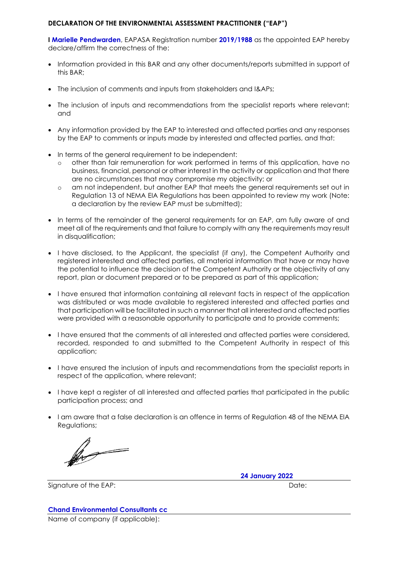## **DECLARATION OF THE ENVIRONMENTAL ASSESSMENT PRACTITIONER ("EAP")**

**I Marielle Pendwarden**, EAPASA Registration number **2019/1988** as the appointed EAP hereby declare/affirm the correctness of the:

- Information provided in this BAR and any other documents/reports submitted in support of this BAR;
- The inclusion of comments and inputs from stakeholders and I&APs;
- The inclusion of inputs and recommendations from the specialist reports where relevant; and
- Any information provided by the EAP to interested and affected parties and any responses by the EAP to comments or inputs made by interested and affected parties, and that:
- In terms of the general requirement to be independent:
	- o other than fair remuneration for work performed in terms of this application, have no business, financial, personal or other interest in the activity or application and that there are no circumstances that may compromise my objectivity; or
	- o am not independent, but another EAP that meets the general requirements set out in Regulation 13 of NEMA EIA Regulations has been appointed to review my work (Note: a declaration by the review EAP must be submitted);
- In terms of the remainder of the general requirements for an EAP, am fully aware of and meet all of the requirements and that failure to comply with any the requirements may result in disqualification;
- I have disclosed, to the Applicant, the specialist (if any), the Competent Authority and registered interested and affected parties, all material information that have or may have the potential to influence the decision of the Competent Authority or the objectivity of any report, plan or document prepared or to be prepared as part of this application;
- I have ensured that information containing all relevant facts in respect of the application was distributed or was made available to registered interested and affected parties and that participation will be facilitated in such a manner that all interested and affected parties were provided with a reasonable opportunity to participate and to provide comments;
- I have ensured that the comments of all interested and affected parties were considered, recorded, responded to and submitted to the Competent Authority in respect of this application;
- I have ensured the inclusion of inputs and recommendations from the specialist reports in respect of the application, where relevant;
- I have kept a register of all interested and affected parties that participated in the public participation process; and
- I am aware that a false declaration is an offence in terms of Regulation 48 of the NEMA EIA Regulations;

 $\oint$ 

Signature of the EAP:  $\Box$  Date:

**24 January 2022**

## **Chand Environmental Consultants cc**

Name of company (if applicable):